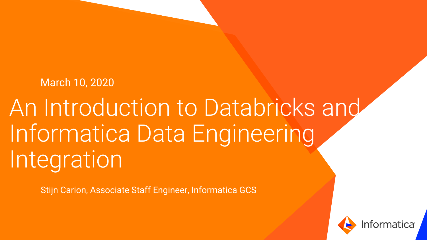#### March 10, 2020

# An Introduction to Databricks and Informatica Data Engineering Integration

Stijn Carion, Associate Staff Engineer, Informatica GCS

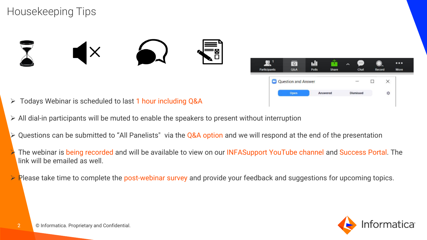#### Housekeeping Tips





- ➢ Todays Webinar is scheduled to last 1 hour including Q&A
- $\triangleright$  All dial-in participants will be muted to enable the speakers to present without interruption
- $\triangleright$  Questions can be submitted to "All Panelists" via the Q&A option and we will respond at the end of the presentation
- The webinar is being recorded and will be available to view on our INFASupport YouTube channel and Success Portal. The link will be emailed as well.
- $\triangleright$  Please take time to complete the post-webinar survey and provide your feedback and suggestions for upcoming topics.

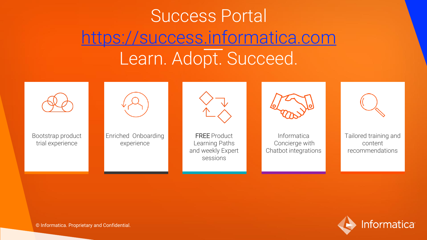## Success Portal [https://success.informatica.com](https://success.informatica.com/) Learn. Adopt. Succeed.



Bootstrap product trial experience

Enriched Onboarding experience



FREE Product Learning Paths and weekly Expert sessions



Informatica Concierge with Chatbot integrations

Tailored training and content recommendations



© Informatica. Proprietary and Confidential.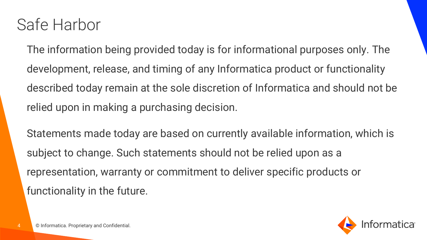#### Safe Harbor

The information being provided today is for informational purposes only. The development, release, and timing of any Informatica product or functionality described today remain at the sole discretion of Informatica and should not be relied upon in making a purchasing decision.

Statements made today are based on currently available information, which is subject to change. Such statements should not be relied upon as a representation, warranty or commitment to deliver specific products or functionality in the future.

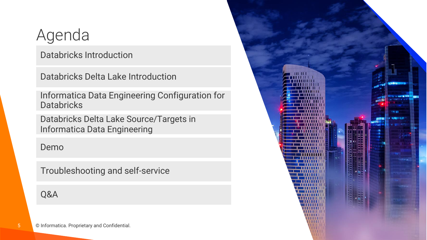## Agenda

Databricks Introduction

Databricks Delta Lake Introduction

Informatica Data Engineering Configuration for **Databricks** 

Databricks Delta Lake Source/Targets in Informatica Data Engineering

#### Demo

Troubleshooting and self-service

Q&A

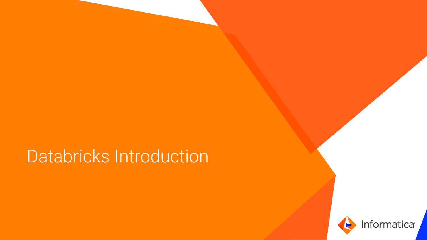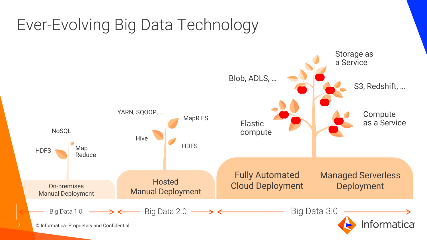### Ever-Evolving Big Data Technology

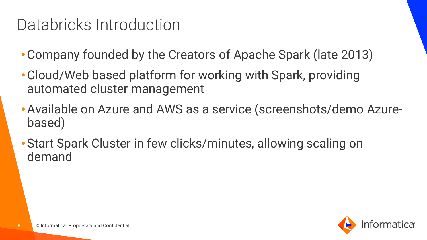- •Company founded by the Creators of Apache Spark (late 2013)
- •Cloud/Web based platform for working with Spark, providing automated cluster management
- •Available on Azure and AWS as a service (screenshots/demo Azurebased)
- •Start Spark Cluster in few clicks/minutes, allowing scaling on demand

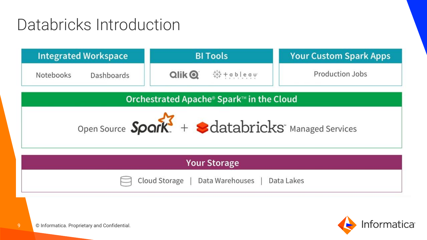| <b>Integrated Workspace</b> | <b>BI Tools</b>                                                                                                                                                                                                                                                                                                          | <b>Your Custom Spark Apps</b> |  |
|-----------------------------|--------------------------------------------------------------------------------------------------------------------------------------------------------------------------------------------------------------------------------------------------------------------------------------------------------------------------|-------------------------------|--|
| Notebooks<br>Dashboards     | $Q$ lik $Q$<br>$\frac{1}{4}$ + $\frac{1}{4}$ + $\frac{1}{4}$ + $\frac{1}{4}$ + $\frac{1}{4}$ + $\frac{1}{4}$ + $\frac{1}{4}$ + $\frac{1}{4}$ + $\frac{1}{4}$ + $\frac{1}{4}$ + $\frac{1}{4}$ + $\frac{1}{4}$ + $\frac{1}{4}$ + $\frac{1}{4}$ + $\frac{1}{4}$ + $\frac{1}{4}$ + $\frac{1}{4}$ + $\frac{1}{4}$ + $\frac{1$ | Production Jobs               |  |

Orchestrated Apache® Spark™ in the Cloud



| <b>Your Storage</b>                          |  |
|----------------------------------------------|--|
| Cloud Storage   Data Warehouses   Data Lakes |  |



9 © Informatica. Proprietary and Confidential.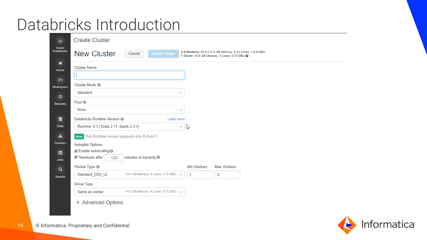| $\bullet$                  | <b>Create Cluster</b>                                                                                                                                              |
|----------------------------|--------------------------------------------------------------------------------------------------------------------------------------------------------------------|
| Azure<br><b>Databricks</b> | 2-8 Workers: 28.0-112.0 GB Memory, 8-32 Cores, 1.5-6 DBU<br><b>New Cluster</b><br>Cancel<br><b>Create Cluster</b><br>1 Driver: 14.0 GB Memory, 4 Cores, 0.75 DBU @ |
| 倄<br>Home                  | <b>Cluster Name</b>                                                                                                                                                |
| $\triangleright$           |                                                                                                                                                                    |
| Workspace                  | Cluster Mode <sup>O</sup>                                                                                                                                          |
| $\bullet$                  | Standard<br>$\sim$                                                                                                                                                 |
| <b>Recents</b>             | Pool <sup>O</sup>                                                                                                                                                  |
|                            | None<br>$\sim$                                                                                                                                                     |
| $\bullet$                  | Databricks Runtime Version @<br>Learn more                                                                                                                         |
| <b>Data</b>                | Runtime: 6.3 (Scala 2.11, Spark 2.4.4)<br>ß<br>$\sim$                                                                                                              |
| 瞐                          | New This Runtime version supports only Python 3.                                                                                                                   |
| <b>Clusters</b>            | <b>Autopilot Options</b>                                                                                                                                           |
| 雦                          | ✔ Enable autoscaling ?                                                                                                                                             |
| <b>Jobs</b>                | Terminate after<br>minutes of inactivity <sup>O</sup><br>120                                                                                                       |
| $\alpha$                   | Worker Type <sup>O</sup><br>Max Workers<br><b>Min Workers</b>                                                                                                      |
| <b>Search</b>              | 14.0 GB Memory, 4 Cores, 0.75 DBU   v<br>Standard_DS3_v2<br>$\overline{2}$<br>8                                                                                    |
|                            | <b>Driver Type</b>                                                                                                                                                 |
|                            | 14.0 GB Memory, 4 Cores, 0.75 DBU   v<br>Same as worker                                                                                                            |
|                            | ▶ Advanced Options                                                                                                                                                 |

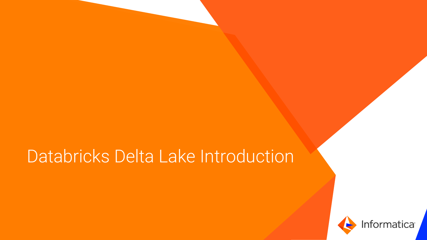## Databricks Delta Lake Introduction

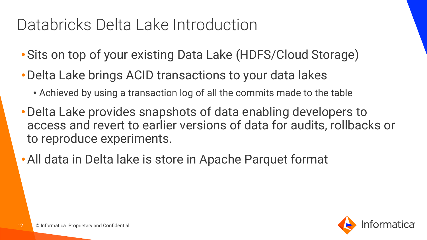## Databricks Delta Lake Introduction

- •Sits on top of your existing Data Lake (HDFS/Cloud Storage)
- •Delta Lake brings ACID transactions to your data lakes
	- Achieved by using a transaction log of all the commits made to the table
- •Delta Lake provides snapshots of data enabling developers to access and revert to earlier versions of data for audits, rollbacks or to reproduce experiments.
- •All data in Delta lake is store in Apache Parquet format

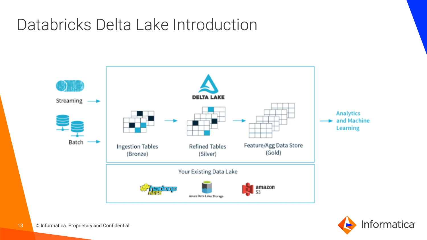### Databricks Delta Lake Introduction



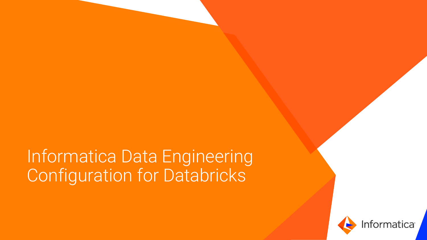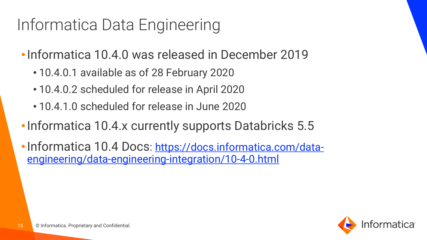## Informatica Data Engineering

- •Informatica 10.4.0 was released in December 2019
	- 10.4.0.1 available as of 28 February 2020
	- 10.4.0.2 scheduled for release in April 2020
	- 10.4.1.0 scheduled for release in June 2020
- Informatica 10.4.x currently supports Databricks 5.5
- Informatica 10.4 Docs: https://docs.informatica.com/data[engineering/data-engineering-integration/10-4-0.html](https://docs.informatica.com/data-engineering/data-engineering-integration/10-4-0.html)

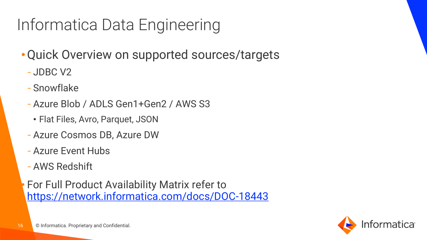## Informatica Data Engineering

- •Quick Overview on supported sources/targets
	- JDBC V2
	- Snowflake
	- Azure Blob / ADLS Gen1+Gen2 / AWS S3
		- Flat Files, Avro, Parquet, JSON
	- Azure Cosmos DB, Azure DW
	- Azure Event Hubs
	- AWS Redshift

• For Full Product Availability Matrix refer to <https://network.informatica.com/docs/DOC-18443>

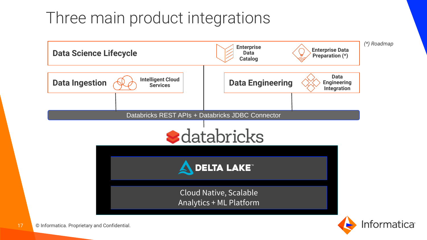### Three main product integrations

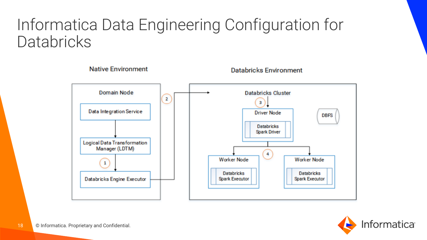

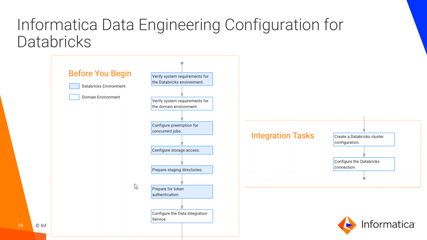|             | <b>Before You Begin</b><br>Databricks Environment<br><b>Domain Environment</b> | Verify system requirements for<br>the Databricks environment.<br>Verify system requirements for<br>the domain environment. |                          |                                                                                          |
|-------------|--------------------------------------------------------------------------------|----------------------------------------------------------------------------------------------------------------------------|--------------------------|------------------------------------------------------------------------------------------|
|             |                                                                                | Configure preemption for<br>concurrent jobs.<br>Configure storage access.<br>Prepare staging directories.                  | <b>Integration Tasks</b> | Create a Databricks cluster<br>configuration.<br>Configure the Databricks<br>connection. |
| 19<br>© Inf | P                                                                              | Prepare for token<br>authentication.<br>Configure the Data Integration<br>Service.                                         |                          | <b>Informatica</b>                                                                       |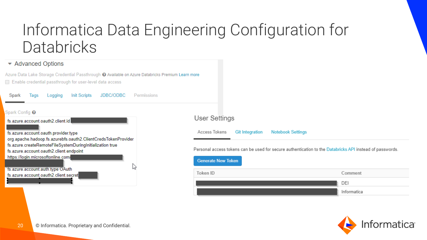#### ▼ Advanced Options

Azure Data Lake Storage Credential Passthrough @ Available on Azure Databricks Premium Learn more Enable credential passthrough for user-level data access

**Init Scripts** JDBC/ODBC Permissions Logging Spark Tags Spark Config <sup>O</sup> fs.azure.account.oauth2.client.id fs.azure.account.oauth.provider.type org.apache.hadoop.fs.azurebfs.oauth2.ClientCredsTokenProvider fs.azure.createRemoteFileSystemDuringInitialization true fs.azure.account.oauth2.client.endpoint https://login.microsoftonline.com/ fs.azure.account.auth.type OAuth fs.azure.account.oauth2.client.secret

#### **User Settings**

Access Tokens **Git Integration Notebook Settings** 

Personal access tokens can be used for secure authentication to the Databricks API instead of passwords.



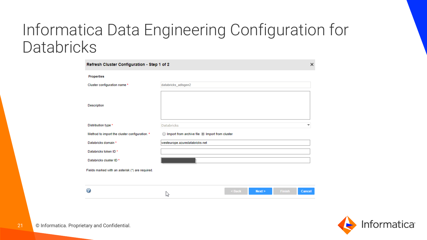| Refresh Cluster Configuration - Step 1 of 2      |                                                     |        |        | ×             |        |
|--------------------------------------------------|-----------------------------------------------------|--------|--------|---------------|--------|
| <b>Properties</b>                                |                                                     |        |        |               |        |
| Cluster configuration name *                     | databricks_adlsgen2                                 |        |        |               |        |
| Description                                      |                                                     |        |        |               |        |
| Distribution type *                              | <b>Databricks</b>                                   |        |        |               | ▼      |
| Method to import the cluster configuration. *    | Import from archive file @ Import from cluster<br>∩ |        |        |               |        |
| Databricks domain *                              | westeurope.azuredatabricks.net                      |        |        |               |        |
| Databricks token ID*                             |                                                     |        |        |               |        |
| Databricks cluster ID *                          |                                                     |        |        |               |        |
| Fields marked with an asterisk (*) are required. |                                                     |        |        |               |        |
| Q                                                | հ×ا                                                 | < Back | Next > | <b>Finish</b> | Cancel |



21 © Informatica. Proprietary and Confidential.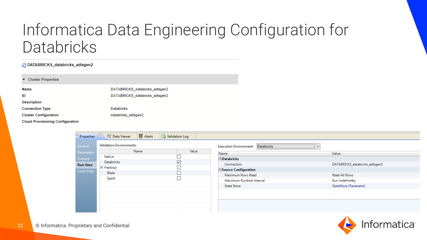#### DATABRICKS\_databricks\_adlsgen2  $\overline{\phantom{0}}$ **Cluster Properties Name** DATABRICKS\_databricks\_adlsgen2 DATABRICKS\_databricks\_adlsgen2 ID **Description Connection Type Databricks** databricks\_adlsgen2 **Cluster Configuration Cloud Provisioning Configuration**

| Properties &    | <b>哥 Alerts</b><br>$\frac{GQ}{N}$ Data Viewer | <b>&amp;</b> Validation Log |                                                             |                                |
|-----------------|-----------------------------------------------|-----------------------------|-------------------------------------------------------------|--------------------------------|
| General         | <b>Validation Environments:</b>               |                             | Databricks<br><b>Execution Environment:</b><br>$\checkmark$ |                                |
| Parameters      | Name                                          | Value                       | Name                                                        | Value                          |
| Outputs         | Native                                        |                             | $\Box$ Databricks                                           |                                |
| <b>Run-time</b> | Databricks                                    | $\overline{\smile}$         | Connection                                                  | DATABRICKS_databricks_adlsgen2 |
| Load Order      | □ Hadoop                                      |                             | □ Source Configuration                                      |                                |
|                 | Blaze                                         |                             | Maximum Rows Read                                           | Read All Rows                  |
|                 | Spark                                         |                             | Maximum Runtime Interval                                    | Run Indefinitely               |
|                 |                                               |                             | <b>State Store</b>                                          | StateStore (Parameter)         |
|                 |                                               |                             |                                                             |                                |
|                 |                                               |                             |                                                             |                                |
|                 |                                               |                             |                                                             |                                |
|                 |                                               |                             |                                                             |                                |

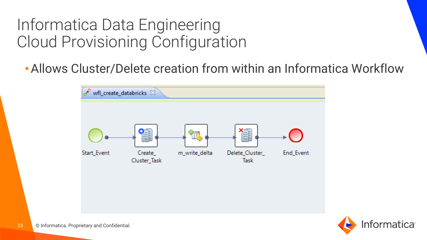#### Informatica Data Engineering Cloud Provisioning Configuration

•Allows Cluster/Delete creation from within an Informatica Workflow



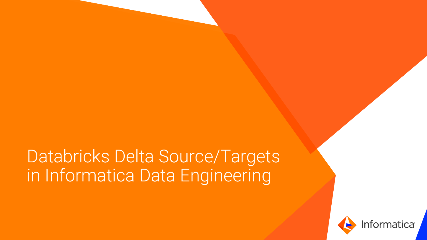## **Databricks Delta Source/Targets** in Informatica Data Engineering

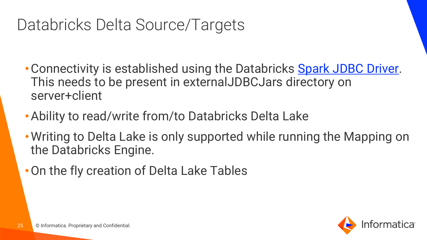## Databricks Delta Source/Targets

- Connectivity is established using the Databricks [Spark JDBC Driver.](https://databricks.com/spark/odbc-driver-download) This needs to be present in externalJDBCJars directory on server+client
- •Ability to read/write from/to Databricks Delta Lake
- Writing to Delta Lake is only supported while running the Mapping on the Databricks Engine.
- •On the fly creation of Delta Lake Tables

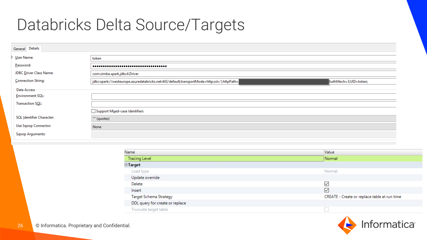### Databricks Delta Source/Targets

| General Details             |                                                                                                                     |  |  |  |
|-----------------------------|---------------------------------------------------------------------------------------------------------------------|--|--|--|
| ▷ <u>U</u> ser Name:        | token                                                                                                               |  |  |  |
| Password:                   |                                                                                                                     |  |  |  |
| JDBC Driver Class Name:     | com.simba.spark.jdbc4.Driver                                                                                        |  |  |  |
| Connection String:          | jdbc:spark://westeurope.azuredatabricks.net:443/default;transportMode=http;ssl=1;httpPath=<br>AuthMech=3;UID=token; |  |  |  |
| - Data Access               |                                                                                                                     |  |  |  |
| Environment SQL:            |                                                                                                                     |  |  |  |
| Transaction SQL:            |                                                                                                                     |  |  |  |
|                             | Support Mixed-case Identifiers                                                                                      |  |  |  |
| SQL Identifier Character:   | "" (quotes)                                                                                                         |  |  |  |
| <b>Use Sqoop Connector:</b> | None                                                                                                                |  |  |  |
| <b>Sqoop Arguments:</b>     |                                                                                                                     |  |  |  |

| Name                            | Value                                        |  |  |  |  |
|---------------------------------|----------------------------------------------|--|--|--|--|
| Tracing Level                   | Normal                                       |  |  |  |  |
| $\Box$ Target                   |                                              |  |  |  |  |
| Load type                       | Normal                                       |  |  |  |  |
| Update override                 |                                              |  |  |  |  |
| Delete                          | ₩                                            |  |  |  |  |
| Insert                          | ↜                                            |  |  |  |  |
| <b>Target Schema Strategy</b>   | CREATE - Create or replace table at run time |  |  |  |  |
| DDL query for create or replace |                                              |  |  |  |  |
| Truncate target table           |                                              |  |  |  |  |

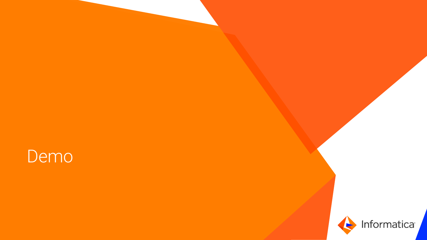

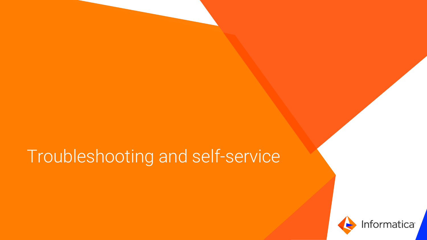## Troubleshooting and self-service

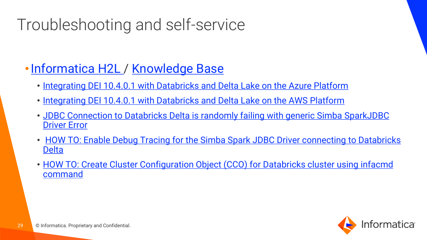## Troubleshooting and self-service

#### • [Informatica H2L](https://docs.informatica.com/data-engineering/data-engineering-integration/10-4-0.html) / [Knowledge Base](https://search.informatica.com/)

- [Integrating DEI 10.4.0.1 with Databricks and Delta Lake on the Azure Platform](https://docs.informatica.com/data-engineering/data-engineering-integration/h2l/integrating-data-engineering-integration-on-the-azure-platform-w.html)
- [Integrating DEI 10.4.0.1 with Databricks and Delta Lake on the AWS Platform](https://docs.informatica.com/data-engineering/data-engineering-integration/h2l/integrating-data-engineering-integration-on-the-aws-platform-wit.html)
- [JDBC Connection to Databricks Delta is randomly failing with generic Simba SparkJDBC](https://kb.informatica.com/solution/23/Pages/73/610540.aspx) Driver Error
- [HOW TO: Enable Debug Tracing for the Simba Spark JDBC Driver connecting to Databricks](https://kb.informatica.com/howto/6/Pages/23/611550.aspx) **Delta**
- [HOW TO: Create Cluster Configuration Object \(CCO\) for Databricks cluster using infacmd](https://kb.informatica.com/howto/6/Pages/23/614541.aspx) command

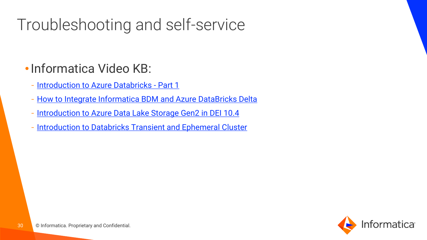## Troubleshooting and self-service

#### •Informatica Video KB:

- [Introduction to Azure Databricks -](https://www.youtube.com/watch?v=PHYkbk9_Akg) Part 1
- [How to Integrate Informatica BDM and Azure DataBricks](https://www.youtube.com/watch?v=dPnVTZ-ce1E) Delta
- [Introduction to Azure Data Lake Storage Gen2 in DEI 10.4](https://www.youtube.com/watch?v=v-sCQb2mMwg&list=PLmi6HWWEAjKqa0gkyw_Qd3Aa0n1HEOj7-&index=79)
- [Introduction to Databricks Transient and Ephemeral Cluster](https://www.youtube.com/watch?v=EbzfO70WP5Y&list=PLmi6HWWEAjKqa0gkyw_Qd3Aa0n1HEOj7-&index=77)

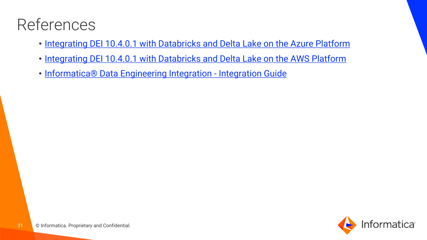## References

- [Integrating DEI 10.4.0.1 with Databricks and Delta Lake on the Azure Platform](https://docs.informatica.com/data-engineering/data-engineering-integration/h2l/integrating-data-engineering-integration-on-the-azure-platform-w.html)
- [Integrating DEI 10.4.0.1 with Databricks and Delta Lake on the AWS Platform](https://docs.informatica.com/data-engineering/data-engineering-integration/h2l/integrating-data-engineering-integration-on-the-aws-platform-wit.html)
- [Informatica® Data Engineering Integration -](https://docs.informatica.com/data-engineering/data-engineering-integration/10-4-0/integration-guide/hadoop-integration.html) Integration Guide

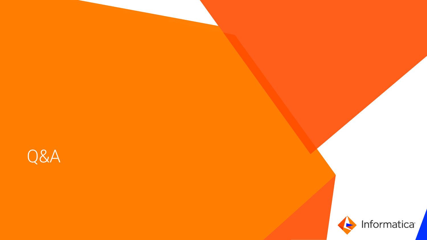